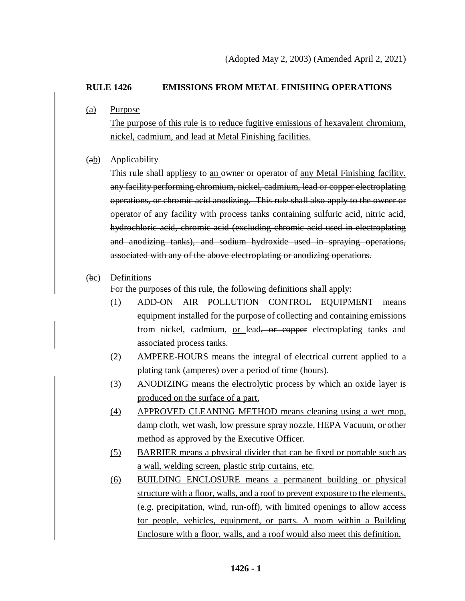# **RULE 1426 EMISSIONS FROM METAL FINISHING OPERATIONS**

(a) Purpose

The purpose of this rule is to reduce fugitive emissions of hexavalent chromium, nickel, cadmium, and lead at Metal Finishing facilities.

(ab) Applicability

This rule shall-appliesy to an owner or operator of any Metal Finishing facility. any facility performing chromium, nickel, cadmium, lead or copper electroplating operations, or chromic acid anodizing. This rule shall also apply to the owner or operator of any facility with process tanks containing sulfuric acid, nitric acid, hydrochloric acid, chromic acid (excluding chromic acid used in electroplating and anodizing tanks), and sodium hydroxide used in spraying operations, associated with any of the above electroplating or anodizing operations.

# (bc) Definitions

For the purposes of this rule, the following definitions shall apply:

- (1) ADD-ON AIR POLLUTION CONTROL EQUIPMENT means equipment installed for the purpose of collecting and containing emissions from nickel, cadmium, or lead, or copper electroplating tanks and associated process tanks.
- (2) AMPERE-HOURS means the integral of electrical current applied to a plating tank (amperes) over a period of time (hours).
- (3) ANODIZING means the electrolytic process by which an oxide layer is produced on the surface of a part.
- (4) APPROVED CLEANING METHOD means cleaning using a wet mop, damp cloth, wet wash, low pressure spray nozzle, HEPA Vacuum, or other method as approved by the Executive Officer.
- (5) BARRIER means a physical divider that can be fixed or portable such as a wall, welding screen, plastic strip curtains, etc.
- (6) BUILDING ENCLOSURE means a permanent building or physical structure with a floor, walls, and a roof to prevent exposure to the elements, (e.g. precipitation, wind, run-off), with limited openings to allow access for people, vehicles, equipment, or parts. A room within a Building Enclosure with a floor, walls, and a roof would also meet this definition.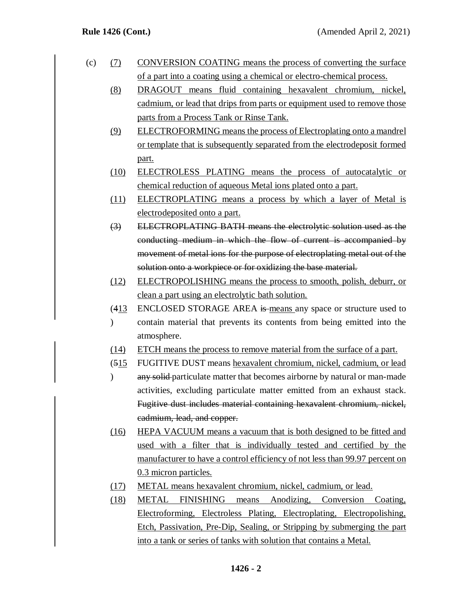- (c) (7) CONVERSION COATING means the process of converting the surface of a part into a coating using a chemical or electro-chemical process.
	- (8) DRAGOUT means fluid containing hexavalent chromium, nickel, cadmium, or lead that drips from parts or equipment used to remove those parts from a Process Tank or Rinse Tank.
	- (9) ELECTROFORMING means the process of Electroplating onto a mandrel or template that is subsequently separated from the electrodeposit formed part.
	- (10) ELECTROLESS PLATING means the process of autocatalytic or chemical reduction of aqueous Metal ions plated onto a part.
	- (11) ELECTROPLATING means a process by which a layer of Metal is electrodeposited onto a part.
	- (3) ELECTROPLATING BATH means the electrolytic solution used as the conducting medium in which the flow of current is accompanied by movement of metal ions for the purpose of electroplating metal out of the solution onto a workpiece or for oxidizing the base material.
	- (12) ELECTROPOLISHING means the process to smooth, polish, deburr, or clean a part using an electrolytic bath solution.
	- $(413)$ ENCLOSED STORAGE AREA is means any space or structure used to
	- $\mathcal{L}$ contain material that prevents its contents from being emitted into the atmosphere.
	- (14) ETCH means the process to remove material from the surface of a part.
	- $(515)$ FUGITIVE DUST means hexavalent chromium, nickel, cadmium, or lead
	- $\mathcal{L}$ any solid particulate matter that becomes airborne by natural or man-made activities, excluding particulate matter emitted from an exhaust stack. Fugitive dust includes material containing hexavalent chromium, nickel, cadmium, lead, and copper.
	- (16) HEPA VACUUM means a vacuum that is both designed to be fitted and used with a filter that is individually tested and certified by the manufacturer to have a control efficiency of not less than 99.97 percent on 0.3 micron particles.
	- (17) METAL means hexavalent chromium, nickel, cadmium, or lead.
	- (18) METAL FINISHING means Anodizing, Conversion Coating, Electroforming, Electroless Plating, Electroplating, Electropolishing, Etch, Passivation, Pre-Dip, Sealing, or Stripping by submerging the part into a tank or series of tanks with solution that contains a Metal.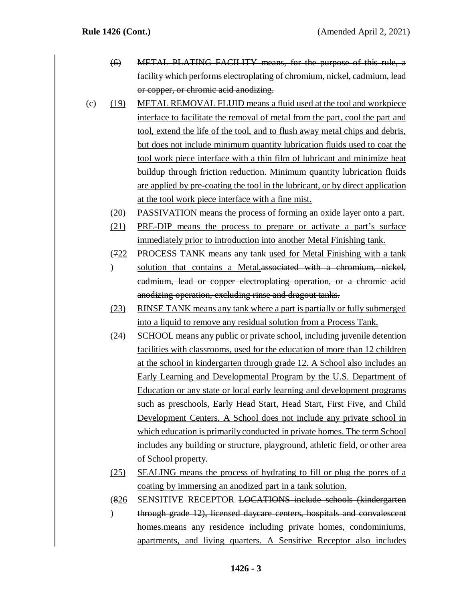- (6) METAL PLATING FACILITY means, for the purpose of this rule, a facility which performs electroplating of chromium, nickel, cadmium, lead or copper, or chromic acid anodizing.
- (c) (19) METAL REMOVAL FLUID means a fluid used at the tool and workpiece interface to facilitate the removal of metal from the part, cool the part and tool, extend the life of the tool, and to flush away metal chips and debris, but does not include minimum quantity lubrication fluids used to coat the tool work piece interface with a thin film of lubricant and minimize heat buildup through friction reduction. Minimum quantity lubrication fluids are applied by pre-coating the tool in the lubricant, or by direct application at the tool work piece interface with a fine mist.
	- (20) PASSIVATION means the process of forming an oxide layer onto a part.
	- (21) PRE-DIP means the process to prepare or activate a part's surface immediately prior to introduction into another Metal Finishing tank.
	- (722 PROCESS TANK means any tank used for Metal Finishing with a tank
	- $\mathcal{L}$ solution that contains a Metal.associated with a chromium, nickel, cadmium, lead or copper electroplating operation, or a chromic acid anodizing operation, excluding rinse and dragout tanks.
	- (23) RINSE TANK means any tank where a part is partially or fully submerged into a liquid to remove any residual solution from a Process Tank.
	- (24) SCHOOL means any public or private school, including juvenile detention facilities with classrooms, used for the education of more than 12 children at the school in kindergarten through grade 12. A School also includes an Early Learning and Developmental Program by the U.S. Department of Education or any state or local early learning and development programs such as preschools, Early Head Start, Head Start, First Five, and Child Development Centers. A School does not include any private school in which education is primarily conducted in private homes. The term School includes any building or structure, playground, athletic field, or other area of School property.
	- (25) SEALING means the process of hydrating to fill or plug the pores of a coating by immersing an anodized part in a tank solution.
	- $(826)$ SENSITIVE RECEPTOR LOCATIONS include schools (kindergarten
	- $\mathcal{L}$ through grade 12), licensed daycare centers, hospitals and convalescent homes.means any residence including private homes, condominiums, apartments, and living quarters. A Sensitive Receptor also includes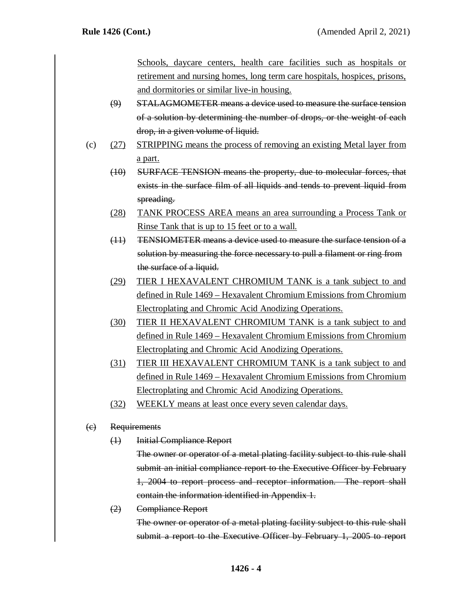Schools, daycare centers, health care facilities such as hospitals or retirement and nursing homes, long term care hospitals, hospices, prisons, and dormitories or similar live-in housing.

- (9) STALAGMOMETER means a device used to measure the surface tension of a solution by determining the number of drops, or the weight of each drop, in a given volume of liquid.
- (c) (27) STRIPPING means the process of removing an existing Metal layer from a part.
	- (10) SURFACE TENSION means the property, due to molecular forces, that exists in the surface film of all liquids and tends to prevent liquid from spreading.
	- (28) TANK PROCESS AREA means an area surrounding a Process Tank or Rinse Tank that is up to 15 feet or to a wall.
	- (11) TENSIOMETER means a device used to measure the surface tension of a solution by measuring the force necessary to pull a filament or ring from the surface of a liquid.
	- (29) TIER I HEXAVALENT CHROMIUM TANK is a tank subject to and defined in Rule 1469 – Hexavalent Chromium Emissions from Chromium Electroplating and Chromic Acid Anodizing Operations.
	- (30) TIER II HEXAVALENT CHROMIUM TANK is a tank subject to and defined in Rule 1469 – Hexavalent Chromium Emissions from Chromium Electroplating and Chromic Acid Anodizing Operations.
	- (31) TIER III HEXAVALENT CHROMIUM TANK is a tank subject to and defined in Rule 1469 – Hexavalent Chromium Emissions from Chromium Electroplating and Chromic Acid Anodizing Operations.
	- (32) WEEKLY means at least once every seven calendar days.

# (c) Requirements

(1) Initial Compliance Report

The owner or operator of a metal plating facility subject to this rule shall submit an initial compliance report to the Executive Officer by February 1, 2004 to report process and receptor information. The report shall contain the information identified in Appendix 1.

(2) Compliance Report

The owner or operator of a metal plating facility subject to this rule shall submit a report to the Executive Officer by February 1, 2005 to report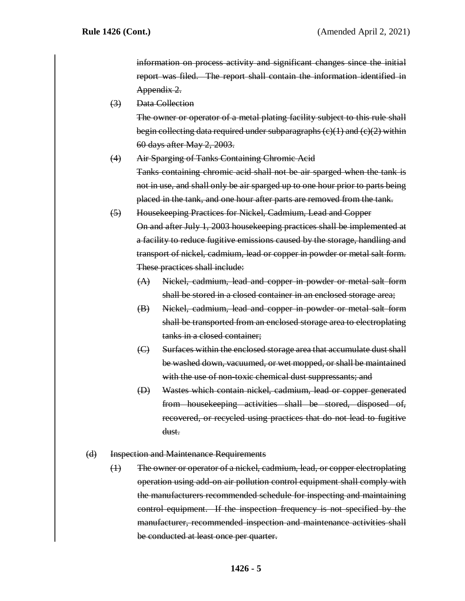information on process activity and significant changes since the initial report was filed. The report shall contain the information identified in Appendix 2.

(3) Data Collection

The owner or operator of a metal plating facility subject to this rule shall begin collecting data required under subparagraphs  $(c)(1)$  and  $(c)(2)$  within 60 days after May 2, 2003.

- (4) Air Sparging of Tanks Containing Chromic Acid Tanks containing chromic acid shall not be air sparged when the tank is not in use, and shall only be air sparged up to one hour prior to parts being placed in the tank, and one hour after parts are removed from the tank.
- (5) Housekeeping Practices for Nickel, Cadmium, Lead and Copper On and after July 1, 2003 housekeeping practices shall be implemented at a facility to reduce fugitive emissions caused by the storage, handling and transport of nickel, cadmium, lead or copper in powder or metal salt form. These practices shall include:
	- (A) Nickel, cadmium, lead and copper in powder or metal salt form shall be stored in a closed container in an enclosed storage area;
	- (B) Nickel, cadmium, lead and copper in powder or metal salt form shall be transported from an enclosed storage area to electroplating tanks in a closed container;
	- (C) Surfaces within the enclosed storage area that accumulate dust shall be washed down, vacuumed, or wet mopped, or shall be maintained with the use of non-toxic chemical dust suppressants; and
	- (D) Wastes which contain nickel, cadmium, lead or copper generated from housekeeping activities shall be stored, disposed of, recovered, or recycled using practices that do not lead to fugitive dust.
- (d) Inspection and Maintenance Requirements
	- (1) The owner or operator of a nickel, cadmium, lead, or copper electroplating operation using add-on air pollution control equipment shall comply with the manufacturers recommended schedule for inspecting and maintaining control equipment. If the inspection frequency is not specified by the manufacturer, recommended inspection and maintenance activities shall be conducted at least once per quarter.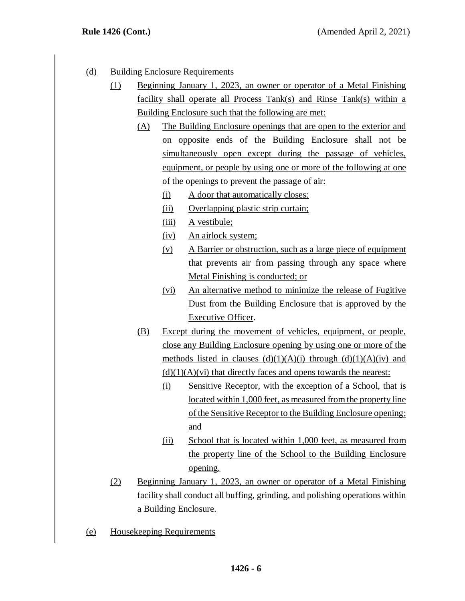- (d) Building Enclosure Requirements
	- (1) Beginning January 1, 2023, an owner or operator of a Metal Finishing facility shall operate all Process Tank(s) and Rinse Tank(s) within a Building Enclosure such that the following are met:
		- (A) The Building Enclosure openings that are open to the exterior and on opposite ends of the Building Enclosure shall not be simultaneously open except during the passage of vehicles, equipment, or people by using one or more of the following at one of the openings to prevent the passage of air:
			- (i) A door that automatically closes;
			- (ii) Overlapping plastic strip curtain;
			- (iii) A vestibule;
			- (iv) An airlock system;
			- (v) A Barrier or obstruction, such as a large piece of equipment that prevents air from passing through any space where Metal Finishing is conducted; or
			- (vi) An alternative method to minimize the release of Fugitive Dust from the Building Enclosure that is approved by the Executive Officer.
		- (B) Except during the movement of vehicles, equipment, or people, close any Building Enclosure opening by using one or more of the methods listed in clauses  $(d)(1)(A)(i)$  through  $(d)(1)(A)(iv)$  and  $(d)(1)(A)(vi)$  that directly faces and opens towards the nearest:
			- (i) Sensitive Receptor, with the exception of a School, that is located within 1,000 feet, as measured from the property line of the Sensitive Receptor to the Building Enclosure opening; and
			- (ii) School that is located within 1,000 feet, as measured from the property line of the School to the Building Enclosure opening.
	- (2) Beginning January 1, 2023, an owner or operator of a Metal Finishing facility shall conduct all buffing, grinding, and polishing operations within a Building Enclosure.
- (e) Housekeeping Requirements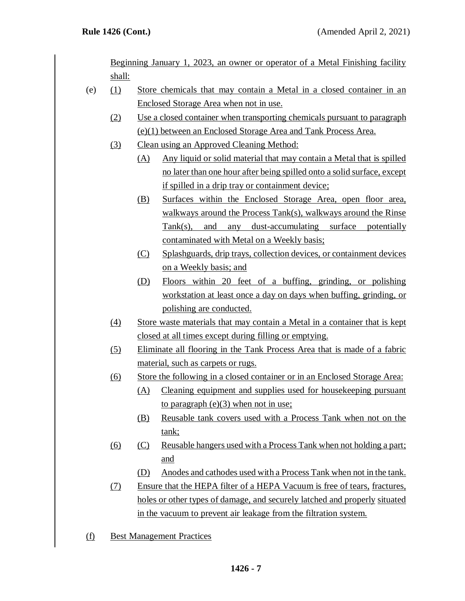Beginning January 1, 2023, an owner or operator of a Metal Finishing facility shall:

- (e) (1) Store chemicals that may contain a Metal in a closed container in an Enclosed Storage Area when not in use.
	- (2) Use a closed container when transporting chemicals pursuant to paragraph (e)(1) between an Enclosed Storage Area and Tank Process Area.
	- (3) Clean using an Approved Cleaning Method:
		- (A) Any liquid or solid material that may contain a Metal that is spilled no later than one hour after being spilled onto a solid surface, except if spilled in a drip tray or containment device;
		- (B) Surfaces within the Enclosed Storage Area, open floor area, walkways around the Process Tank(s), walkways around the Rinse Tank(s), and any dust-accumulating surface potentially contaminated with Metal on a Weekly basis;
		- (C) Splashguards, drip trays, collection devices, or containment devices on a Weekly basis; and
		- (D) Floors within 20 feet of a buffing, grinding, or polishing workstation at least once a day on days when buffing, grinding, or polishing are conducted.
	- (4) Store waste materials that may contain a Metal in a container that is kept closed at all times except during filling or emptying.
	- (5) Eliminate all flooring in the Tank Process Area that is made of a fabric material, such as carpets or rugs.
	- (6) Store the following in a closed container or in an Enclosed Storage Area:
		- (A) Cleaning equipment and supplies used for housekeeping pursuant to paragraph  $(e)(3)$  when not in use;
		- (B) Reusable tank covers used with a Process Tank when not on the tank;
	- (6) (C) Reusable hangers used with a Process Tank when not holding a part; and
		- (D) Anodes and cathodes used with a Process Tank when not in the tank.
	- (7) Ensure that the HEPA filter of a HEPA Vacuum is free of tears, fractures, holes or other types of damage, and securely latched and properly situated in the vacuum to prevent air leakage from the filtration system.
- (f) Best Management Practices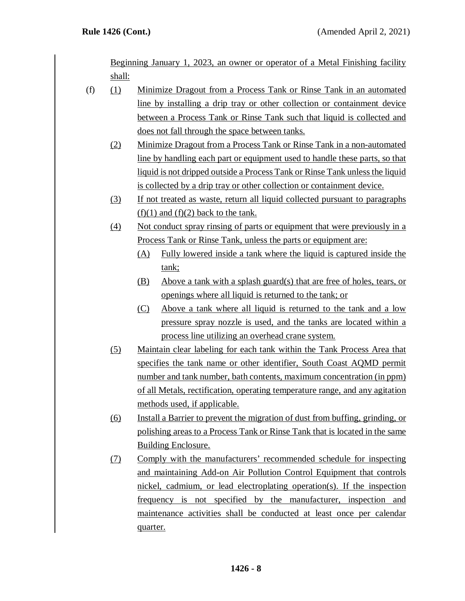Beginning January 1, 2023, an owner or operator of a Metal Finishing facility shall:

- (f) (1) Minimize Dragout from a Process Tank or Rinse Tank in an automated line by installing a drip tray or other collection or containment device between a Process Tank or Rinse Tank such that liquid is collected and does not fall through the space between tanks.
	- (2) Minimize Dragout from a Process Tank or Rinse Tank in a non-automated line by handling each part or equipment used to handle these parts, so that liquid is not dripped outside a Process Tank or Rinse Tank unless the liquid is collected by a drip tray or other collection or containment device.
	- (3) If not treated as waste, return all liquid collected pursuant to paragraphs  $(f)(1)$  and  $(f)(2)$  back to the tank.
	- (4) Not conduct spray rinsing of parts or equipment that were previously in a Process Tank or Rinse Tank, unless the parts or equipment are:
		- (A) Fully lowered inside a tank where the liquid is captured inside the tank;
		- (B) Above a tank with a splash guard(s) that are free of holes, tears, or openings where all liquid is returned to the tank; or
		- (C) Above a tank where all liquid is returned to the tank and a low pressure spray nozzle is used, and the tanks are located within a process line utilizing an overhead crane system.
	- (5) Maintain clear labeling for each tank within the Tank Process Area that specifies the tank name or other identifier, South Coast AQMD permit number and tank number, bath contents, maximum concentration (in ppm) of all Metals, rectification, operating temperature range, and any agitation methods used, if applicable.
	- (6) Install a Barrier to prevent the migration of dust from buffing, grinding, or polishing areas to a Process Tank or Rinse Tank that is located in the same Building Enclosure.
	- (7) Comply with the manufacturers' recommended schedule for inspecting and maintaining Add-on Air Pollution Control Equipment that controls nickel, cadmium, or lead electroplating operation(s). If the inspection frequency is not specified by the manufacturer, inspection and maintenance activities shall be conducted at least once per calendar quarter.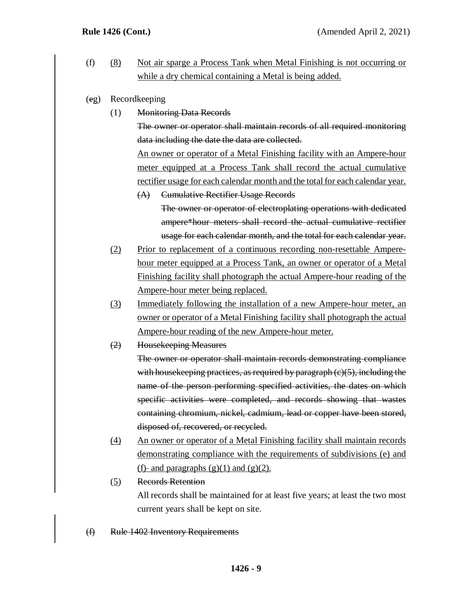- (f) (8) Not air sparge a Process Tank when Metal Finishing is not occurring or while a dry chemical containing a Metal is being added.
- (eg) Recordkeeping
	- (1) Monitoring Data Records

The owner or operator shall maintain records of all required monitoring data including the date the data are collected.

An owner or operator of a Metal Finishing facility with an Ampere-hour meter equipped at a Process Tank shall record the actual cumulative rectifier usage for each calendar month and the total for each calendar year.

- (A) Cumulative Rectifier Usage Records The owner or operator of electroplating operations with dedicated ampere\*hour meters shall record the actual cumulative rectifier usage for each calendar month, and the total for each calendar year.
- (2) Prior to replacement of a continuous recording non-resettable Amperehour meter equipped at a Process Tank, an owner or operator of a Metal Finishing facility shall photograph the actual Ampere-hour reading of the Ampere-hour meter being replaced.
- (3) Immediately following the installation of a new Ampere-hour meter, an owner or operator of a Metal Finishing facility shall photograph the actual Ampere-hour reading of the new Ampere-hour meter.
- (2) Housekeeping Measures

The owner or operator shall maintain records demonstrating compliance with house keeping practices, as required by paragraph  $(c)(5)$ , including the name of the person performing specified activities, the dates on which specific activities were completed, and records showing that wastes containing chromium, nickel, cadmium, lead or copper have been stored, disposed of, recovered, or recycled.

- (4) An owner or operator of a Metal Finishing facility shall maintain records demonstrating compliance with the requirements of subdivisions (e) and (f)- and paragraphs  $(g)(1)$  and  $(g)(2)$ .
- (5) Records Retention

All records shall be maintained for at least five years; at least the two most current years shall be kept on site.

(f) Rule 1402 Inventory Requirements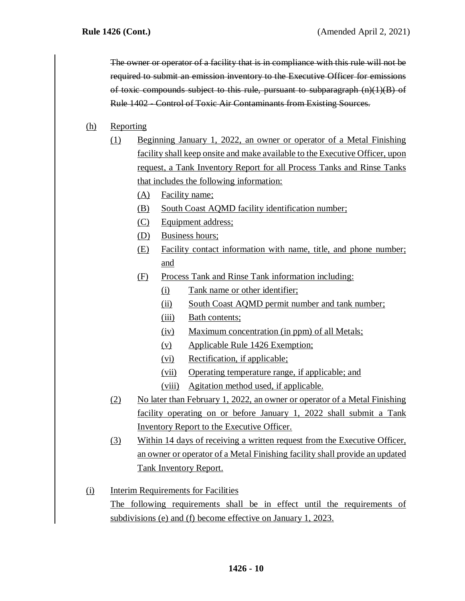The owner or operator of a facility that is in compliance with this rule will not be required to submit an emission inventory to the Executive Officer for emissions of toxic compounds subject to this rule, pursuant to subparagraph (n)(1)(B) of Rule 1402 - Control of Toxic Air Contaminants from Existing Sources.

## (h) Reporting

- (1) Beginning January 1, 2022, an owner or operator of a Metal Finishing facility shall keep onsite and make available to the Executive Officer, upon request, a Tank Inventory Report for all Process Tanks and Rinse Tanks that includes the following information:
	- (A) Facility name;
	- (B) South Coast AQMD facility identification number;
	- (C) Equipment address;
	- (D) Business hours;
	- (E) Facility contact information with name, title, and phone number; and
	- (F) Process Tank and Rinse Tank information including:
		- (i) Tank name or other identifier;
		- (ii) South Coast AQMD permit number and tank number;
		- (iii) Bath contents;
		- (iv) Maximum concentration (in ppm) of all Metals;
		- (v) Applicable Rule 1426 Exemption;
		- (vi) Rectification, if applicable;
		- (vii) Operating temperature range, if applicable; and
		- (viii) Agitation method used, if applicable.
- (2) No later than February 1, 2022, an owner or operator of a Metal Finishing facility operating on or before January 1, 2022 shall submit a Tank Inventory Report to the Executive Officer.
- (3) Within 14 days of receiving a written request from the Executive Officer, an owner or operator of a Metal Finishing facility shall provide an updated Tank Inventory Report.
- (i) Interim Requirements for Facilities The following requirements shall be in effect until the requirements of subdivisions (e) and (f) become effective on January 1, 2023.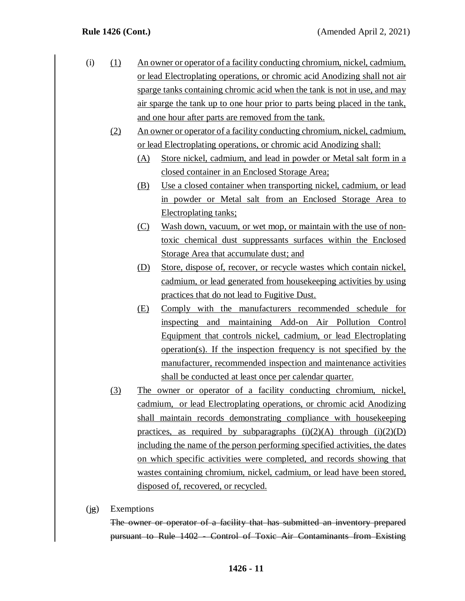- (i) (1) An owner or operator of a facility conducting chromium, nickel, cadmium, or lead Electroplating operations, or chromic acid Anodizing shall not air sparge tanks containing chromic acid when the tank is not in use, and may air sparge the tank up to one hour prior to parts being placed in the tank, and one hour after parts are removed from the tank.
	- (2) An owner or operator of a facility conducting chromium, nickel, cadmium, or lead Electroplating operations, or chromic acid Anodizing shall:
		- (A) Store nickel, cadmium, and lead in powder or Metal salt form in a closed container in an Enclosed Storage Area;
		- (B) Use a closed container when transporting nickel, cadmium, or lead in powder or Metal salt from an Enclosed Storage Area to Electroplating tanks;
		- (C) Wash down, vacuum, or wet mop, or maintain with the use of nontoxic chemical dust suppressants surfaces within the Enclosed Storage Area that accumulate dust; and
		- (D) Store, dispose of, recover, or recycle wastes which contain nickel, cadmium, or lead generated from housekeeping activities by using practices that do not lead to Fugitive Dust.
		- (E) Comply with the manufacturers recommended schedule for inspecting and maintaining Add-on Air Pollution Control Equipment that controls nickel, cadmium, or lead Electroplating operation(s). If the inspection frequency is not specified by the manufacturer, recommended inspection and maintenance activities shall be conducted at least once per calendar quarter.
	- (3) The owner or operator of a facility conducting chromium, nickel, cadmium, or lead Electroplating operations, or chromic acid Anodizing shall maintain records demonstrating compliance with housekeeping practices, as required by subparagraphs  $(i)(2)(A)$  through  $(i)(2)(D)$ including the name of the person performing specified activities, the dates on which specific activities were completed, and records showing that wastes containing chromium, nickel, cadmium, or lead have been stored, disposed of, recovered, or recycled.
- (jg) Exemptions

The owner or operator of a facility that has submitted an inventory prepared pursuant to Rule 1402 - Control of Toxic Air Contaminants from Existing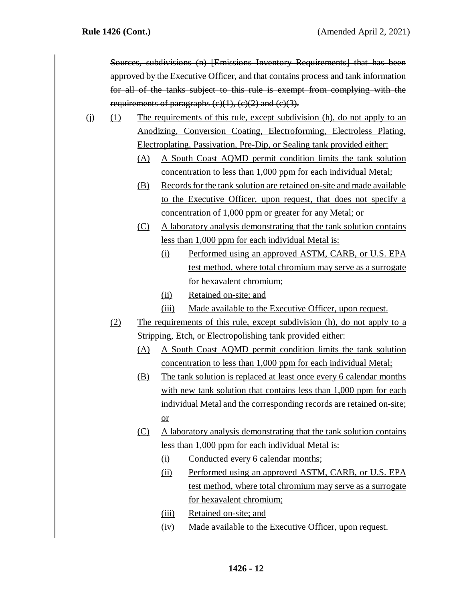Sources, subdivisions (n) [Emissions Inventory Requirements] that has been approved by the Executive Officer, and that contains process and tank information for all of the tanks subject to this rule is exempt from complying with the requirements of paragraphs  $(c)(1)$ ,  $(c)(2)$  and  $(c)(3)$ .

- (j) (1) The requirements of this rule, except subdivision (h), do not apply to an Anodizing, Conversion Coating, Electroforming, Electroless Plating, Electroplating, Passivation, Pre-Dip, or Sealing tank provided either:
	- (A) A South Coast AQMD permit condition limits the tank solution concentration to less than 1,000 ppm for each individual Metal;
	- (B) Records for the tank solution are retained on-site and made available to the Executive Officer, upon request, that does not specify a concentration of 1,000 ppm or greater for any Metal; or
	- (C) A laboratory analysis demonstrating that the tank solution contains less than 1,000 ppm for each individual Metal is:
		- (i) Performed using an approved ASTM, CARB, or U.S. EPA test method, where total chromium may serve as a surrogate for hexavalent chromium;
		- (ii) Retained on-site; and
		- (iii) Made available to the Executive Officer, upon request.
	- (2) The requirements of this rule, except subdivision (h), do not apply to a Stripping, Etch, or Electropolishing tank provided either:
		- (A) A South Coast AQMD permit condition limits the tank solution concentration to less than 1,000 ppm for each individual Metal;
		- (B) The tank solution is replaced at least once every 6 calendar months with new tank solution that contains less than 1,000 ppm for each individual Metal and the corresponding records are retained on-site; or
		- (C) A laboratory analysis demonstrating that the tank solution contains less than 1,000 ppm for each individual Metal is:
			- (i) Conducted every 6 calendar months;
			- (ii) Performed using an approved ASTM, CARB, or U.S. EPA test method, where total chromium may serve as a surrogate for hexavalent chromium;
			- (iii) Retained on-site; and
			- (iv) Made available to the Executive Officer, upon request.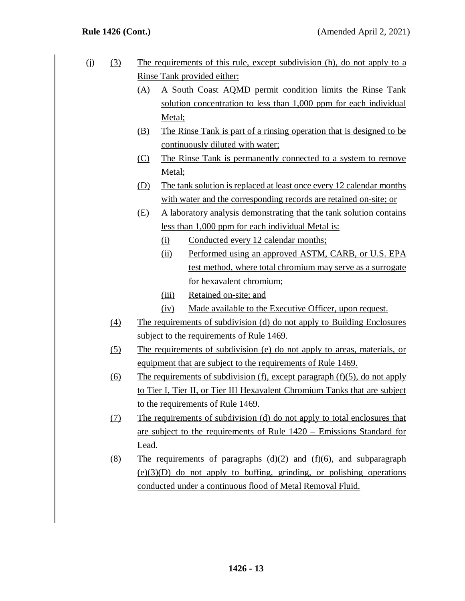- (j) (3) The requirements of this rule, except subdivision (h), do not apply to a Rinse Tank provided either:
	- (A) A South Coast AQMD permit condition limits the Rinse Tank solution concentration to less than 1,000 ppm for each individual Metal;
	- (B) The Rinse Tank is part of a rinsing operation that is designed to be continuously diluted with water;
	- (C) The Rinse Tank is permanently connected to a system to remove Metal;
	- (D) The tank solution is replaced at least once every 12 calendar months with water and the corresponding records are retained on-site; or
	- (E) A laboratory analysis demonstrating that the tank solution contains less than 1,000 ppm for each individual Metal is:
		- (i) Conducted every 12 calendar months;
		- (ii) Performed using an approved ASTM, CARB, or U.S. EPA test method, where total chromium may serve as a surrogate for hexavalent chromium;
		- (iii) Retained on-site; and
		- (iv) Made available to the Executive Officer, upon request.
	- (4) The requirements of subdivision (d) do not apply to Building Enclosures subject to the requirements of Rule 1469.
	- (5) The requirements of subdivision (e) do not apply to areas, materials, or equipment that are subject to the requirements of Rule 1469.
	- (6) The requirements of subdivision (f), except paragraph (f)(5), do not apply to Tier I, Tier II, or Tier III Hexavalent Chromium Tanks that are subject to the requirements of Rule 1469.
	- (7) The requirements of subdivision (d) do not apply to total enclosures that are subject to the requirements of Rule 1420 – Emissions Standard for Lead.
	- $(8)$  The requirements of paragraphs  $(d)(2)$  and  $(f)(6)$ , and subparagraph  $(e)(3)(D)$  do not apply to buffing, grinding, or polishing operations conducted under a continuous flood of Metal Removal Fluid.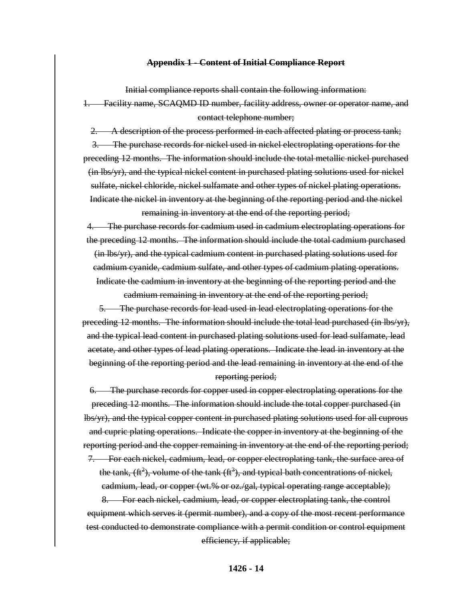### **Appendix 1** - **Content of Initial Compliance Report**

Initial compliance reports shall contain the following information:

1. Facility name, SCAQMD ID number, facility address, owner or operator name, and contact telephone number;

2. A description of the process performed in each affected plating or process tank; 3. The purchase records for nickel used in nickel electroplating operations for the preceding 12 months. The information should include the total metallic nickel purchased (in lbs/yr), and the typical nickel content in purchased plating solutions used for nickel sulfate, nickel chloride, nickel sulfamate and other types of nickel plating operations. Indicate the nickel in inventory at the beginning of the reporting period and the nickel remaining in inventory at the end of the reporting period;

4. The purchase records for cadmium used in cadmium electroplating operations for the preceding 12 months. The information should include the total cadmium purchased (in lbs/yr), and the typical cadmium content in purchased plating solutions used for cadmium cyanide, cadmium sulfate, and other types of cadmium plating operations. Indicate the cadmium in inventory at the beginning of the reporting period and the cadmium remaining in inventory at the end of the reporting period;

5. The purchase records for lead used in lead electroplating operations for the preceding 12 months. The information should include the total lead purchased (in lbs/yr), and the typical lead content in purchased plating solutions used for lead sulfamate, lead acetate, and other types of lead plating operations. Indicate the lead in inventory at the beginning of the reporting period and the lead remaining in inventory at the end of the

## reporting period;

6. The purchase records for copper used in copper electroplating operations for the preceding 12 months. The information should include the total copper purchased (in lbs/yr), and the typical copper content in purchased plating solutions used for all cuprous and cupric plating operations. Indicate the copper in inventory at the beginning of the reporting period and the copper remaining in inventory at the end of the reporting period;

7. For each nickel, cadmium, lead, or copper electroplating tank, the surface area of the tank,  $(\text{ft}^2)$ , volume of the tank  $(\text{ft}^3)$ , and typical bath concentrations of nickel, cadmium, lead, or copper (wt.% or oz./gal, typical operating range acceptable);

8. For each nickel, cadmium, lead, or copper electroplating tank, the control equipment which serves it (permit number), and a copy of the most recent performance test conducted to demonstrate compliance with a permit condition or control equipment efficiency, if applicable;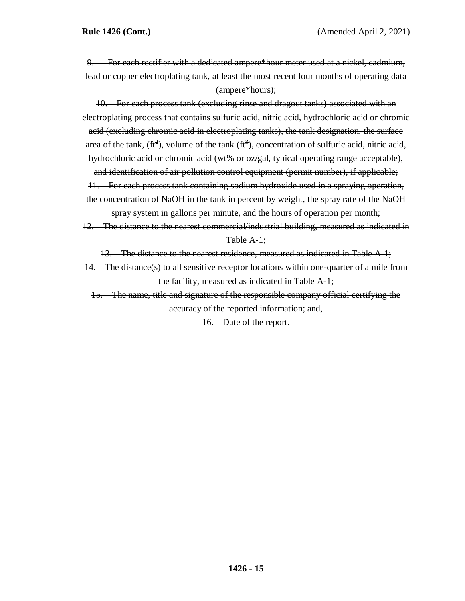9. For each rectifier with a dedicated ampere\*hour meter used at a nickel, cadmium, lead or copper electroplating tank, at least the most recent four months of operating data (ampere\*hours);

10. For each process tank (excluding rinse and dragout tanks) associated with an electroplating process that contains sulfuric acid, nitric acid, hydrochloric acid or chromic acid (excluding chromic acid in electroplating tanks), the tank designation, the surface area of the tank,  $(\text{ft}^2)$ , volume of the tank  $(\text{ft}^3)$ , concentration of sulfuric acid, nitric acid, hydrochloric acid or chromic acid (wt% or oz/gal, typical operating range acceptable), and identification of air pollution control equipment (permit number), if applicable; 11. For each process tank containing sodium hydroxide used in a spraying operation,

the concentration of NaOH in the tank in percent by weight, the spray rate of the NaOH

spray system in gallons per minute, and the hours of operation per month; 12. The distance to the nearest commercial/industrial building, measured as indicated in Table A-1;

13. The distance to the nearest residence, measured as indicated in Table A-1;

14. The distance(s) to all sensitive receptor locations within one-quarter of a mile from the facility, measured as indicated in Table A-1;

15. The name, title and signature of the responsible company official certifying the accuracy of the reported information; and,

16. Date of the report.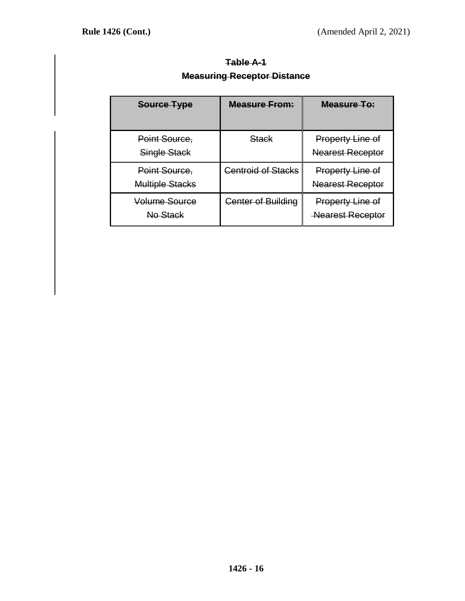| <b>Table A-1</b>                   |  |
|------------------------------------|--|
| <b>Measuring Receptor Distance</b> |  |
|                                    |  |

| Source Type                             | <b>Measure From:</b>      | Measure To:                                        |
|-----------------------------------------|---------------------------|----------------------------------------------------|
| Point Source,<br>Single Stack           | <del>Stack</del>          | <b>Property Line of</b><br><b>Nearest Receptor</b> |
| Point Source,<br><b>Multiple Stacks</b> | <b>Centroid of Stacks</b> | <b>Property Line of</b><br><b>Nearest Receptor</b> |
| Volume Source<br>No Stack               | <b>Center of Building</b> | <b>Property Line of</b><br><b>Nearest Receptor</b> |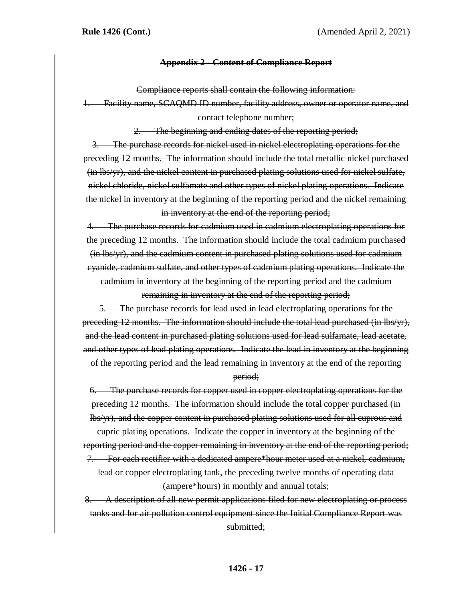### **Appendix 2 - Content of Compliance Report**

Compliance reports shall contain the following information:

1. Facility name, SCAQMD ID number, facility address, owner or operator name, and contact telephone number;

2. The beginning and ending dates of the reporting period;

3. The purchase records for nickel used in nickel electroplating operations for the preceding 12 months. The information should include the total metallic nickel purchased (in lbs/yr), and the nickel content in purchased plating solutions used for nickel sulfate, nickel chloride, nickel sulfamate and other types of nickel plating operations. Indicate the nickel in inventory at the beginning of the reporting period and the nickel remaining in inventory at the end of the reporting period;

4. The purchase records for cadmium used in cadmium electroplating operations for the preceding 12 months. The information should include the total cadmium purchased (in lbs/yr), and the cadmium content in purchased plating solutions used for cadmium cyanide, cadmium sulfate, and other types of cadmium plating operations. Indicate the cadmium in inventory at the beginning of the reporting period and the cadmium

remaining in inventory at the end of the reporting period;

5. The purchase records for lead used in lead electroplating operations for the preceding 12 months. The information should include the total lead purchased (in lbs/yr), and the lead content in purchased plating solutions used for lead sulfamate, lead acetate, and other types of lead plating operations. Indicate the lead in inventory at the beginning of the reporting period and the lead remaining in inventory at the end of the reporting

#### period;

6. The purchase records for copper used in copper electroplating operations for the preceding 12 months. The information should include the total copper purchased (in lbs/yr), and the copper content in purchased plating solutions used for all cuprous and

cupric plating operations. Indicate the copper in inventory at the beginning of the reporting period and the copper remaining in inventory at the end of the reporting period;

7. For each rectifier with a dedicated ampere\*hour meter used at a nickel, cadmium, lead or copper electroplating tank, the preceding twelve months of operating data (ampere\*hours) in monthly and annual totals;

8. A description of all new permit applications filed for new electroplating or process tanks and for air pollution control equipment since the Initial Compliance Report was submitted: